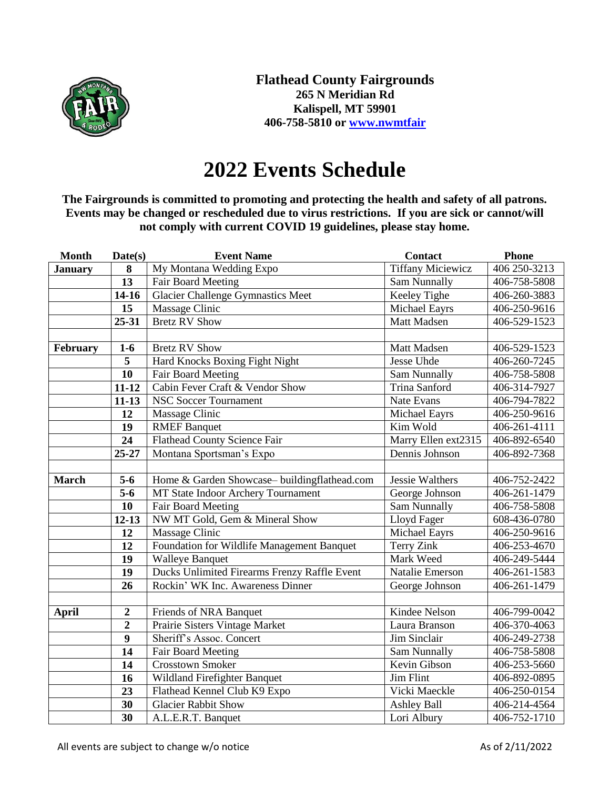

## **2022 Events Schedule**

**The Fairgrounds is committed to promoting and protecting the health and safety of all patrons. Events may be changed or rescheduled due to virus restrictions. If you are sick or cannot/will not comply with current COVID 19 guidelines, please stay home.**

| <b>Month</b>   | Date(s)          | <b>Event Name</b>                            | <b>Contact</b>           | <b>Phone</b> |
|----------------|------------------|----------------------------------------------|--------------------------|--------------|
| <b>January</b> | ${\bf 8}$        | My Montana Wedding Expo                      | <b>Tiffany Miciewicz</b> | 406 250-3213 |
|                | 13               | Fair Board Meeting                           | Sam Nunnally             | 406-758-5808 |
|                | $14 - 16$        | <b>Glacier Challenge Gymnastics Meet</b>     | Keeley Tighe             | 406-260-3883 |
|                | 15               | Massage Clinic                               | Michael Eayrs            | 406-250-9616 |
|                | 25-31            | <b>Bretz RV Show</b>                         | Matt Madsen              | 406-529-1523 |
|                |                  |                                              |                          |              |
| February       | $1-6$            | <b>Bretz RV Show</b>                         | Matt Madsen              | 406-529-1523 |
|                | $\overline{5}$   | Hard Knocks Boxing Fight Night               | <b>Jesse Uhde</b>        | 406-260-7245 |
|                | 10               | Fair Board Meeting                           | <b>Sam Nunnally</b>      | 406-758-5808 |
|                | $11 - 12$        | Cabin Fever Craft & Vendor Show              | <b>Trina Sanford</b>     | 406-314-7927 |
|                | $11 - 13$        | <b>NSC Soccer Tournament</b>                 | Nate Evans               | 406-794-7822 |
|                | 12               | Massage Clinic                               | Michael Eayrs            | 406-250-9616 |
|                | 19               | <b>RMEF</b> Banquet                          | Kim Wold                 | 406-261-4111 |
|                | $\overline{24}$  | <b>Flathead County Science Fair</b>          | Marry Ellen ext2315      | 406-892-6540 |
|                | 25-27            | Montana Sportsman's Expo                     | Dennis Johnson           | 406-892-7368 |
|                |                  |                                              |                          |              |
| <b>March</b>   | $5-6$            | Home & Garden Showcase-buildingflathead.com  | <b>Jessie Walthers</b>   | 406-752-2422 |
|                | $\overline{5-6}$ | MT State Indoor Archery Tournament           | George Johnson           | 406-261-1479 |
|                | $\overline{10}$  | Fair Board Meeting                           | <b>Sam Nunnally</b>      | 406-758-5808 |
|                | $12 - 13$        | NW MT Gold, Gem & Mineral Show               | Lloyd Fager              | 608-436-0780 |
|                | 12               | Massage Clinic                               | Michael Eayrs            | 406-250-9616 |
|                | 12               | Foundation for Wildlife Management Banquet   | Terry Zink               | 406-253-4670 |
|                | 19               | <b>Walleye Banquet</b>                       | Mark Weed                | 406-249-5444 |
|                | 19               | Ducks Unlimited Firearms Frenzy Raffle Event | Natalie Emerson          | 406-261-1583 |
|                | 26               | Rockin' WK Inc. Awareness Dinner             | George Johnson           | 406-261-1479 |
|                |                  |                                              |                          |              |
| <b>April</b>   | $\boldsymbol{2}$ | Friends of NRA Banquet                       | Kindee Nelson            | 406-799-0042 |
|                | $\overline{2}$   | Prairie Sisters Vintage Market               | Laura Branson            | 406-370-4063 |
|                | $\boldsymbol{9}$ | Sheriff's Assoc. Concert                     | Jim Sinclair             | 406-249-2738 |
|                | 14               | Fair Board Meeting                           | <b>Sam Nunnally</b>      | 406-758-5808 |
|                | 14               | <b>Crosstown Smoker</b>                      | Kevin Gibson             | 406-253-5660 |
|                | 16               | Wildland Firefighter Banquet                 | <b>Jim Flint</b>         | 406-892-0895 |
|                | 23               | Flathead Kennel Club K9 Expo                 | Vicki Maeckle            | 406-250-0154 |
|                | 30               | <b>Glacier Rabbit Show</b>                   | <b>Ashley Ball</b>       | 406-214-4564 |
|                | 30               | A.L.E.R.T. Banquet                           | Lori Albury              | 406-752-1710 |